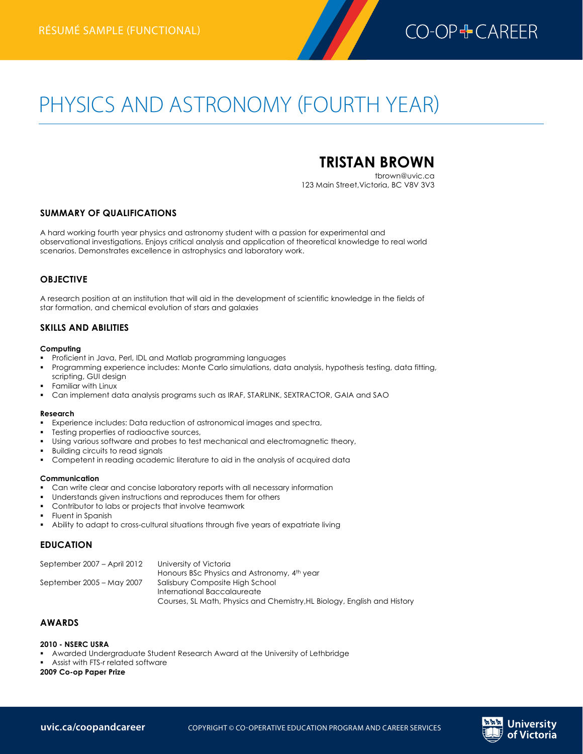

# PHYSICS AND ASTRONOMY (FOURTH YEAR)

# **TRISTAN BROWN**

tbrown@uvic.ca 123 Main Street,Victoria, BC V8V 3V3

## **SUMMARY OF QUALIFICATIONS**

A hard working fourth year physics and astronomy student with a passion for experimental and observational investigations. Enjoys critical analysis and application of theoretical knowledge to real world scenarios. Demonstrates excellence in astrophysics and laboratory work.

## **OBJECTIVE**

A research position at an institution that will aid in the development of scientific knowledge in the fields of star formation, and chemical evolution of stars and galaxies

# **SKILLS AND ABILITIES**

#### **Computing**

- § Proficient in Java, Perl, IDL and Matlab programming languages
- § Programming experience includes: Monte Carlo simulations, data analysis, hypothesis testing, data fitting, scripting, GUI design
- § Familiar with Linux
- § Can implement data analysis programs such as IRAF, STARLINK, SEXTRACTOR, GAIA and SAO

#### **Research**

- § Experience includes: Data reduction of astronomical images and spectra,
- Testing properties of radioactive sources,
- Using various software and probes to test mechanical and electromagnetic theory,
- § Building circuits to read signals
- § Competent in reading academic literature to aid in the analysis of acquired data

#### **Communication**

- § Can write clear and concise laboratory reports with all necessary information
- Understands given instructions and reproduces them for others
- § Contributor to labs or projects that involve teamwork
- § Fluent in Spanish
- Ability to adapt to cross-cultural situations through five years of expatriate living

## **EDUCATION**

| September 2007 – April 2012 | University of Victoria                                                   |
|-----------------------------|--------------------------------------------------------------------------|
|                             | Honours BSc Physics and Astronomy, 4th year                              |
| September 2005 – May 2007   | Salisbury Composite High School                                          |
|                             | International Baccalaureate                                              |
|                             | Courses, SL Math, Physics and Chemistry, HL Biology, English and History |

## **AWARDS**

#### **2010 - NSERC USRA**

- § Awarded Undergraduate Student Research Award at the University of Lethbridge
- § Assist with FTS-r related software

#### **2009 Co-op Paper Prize**